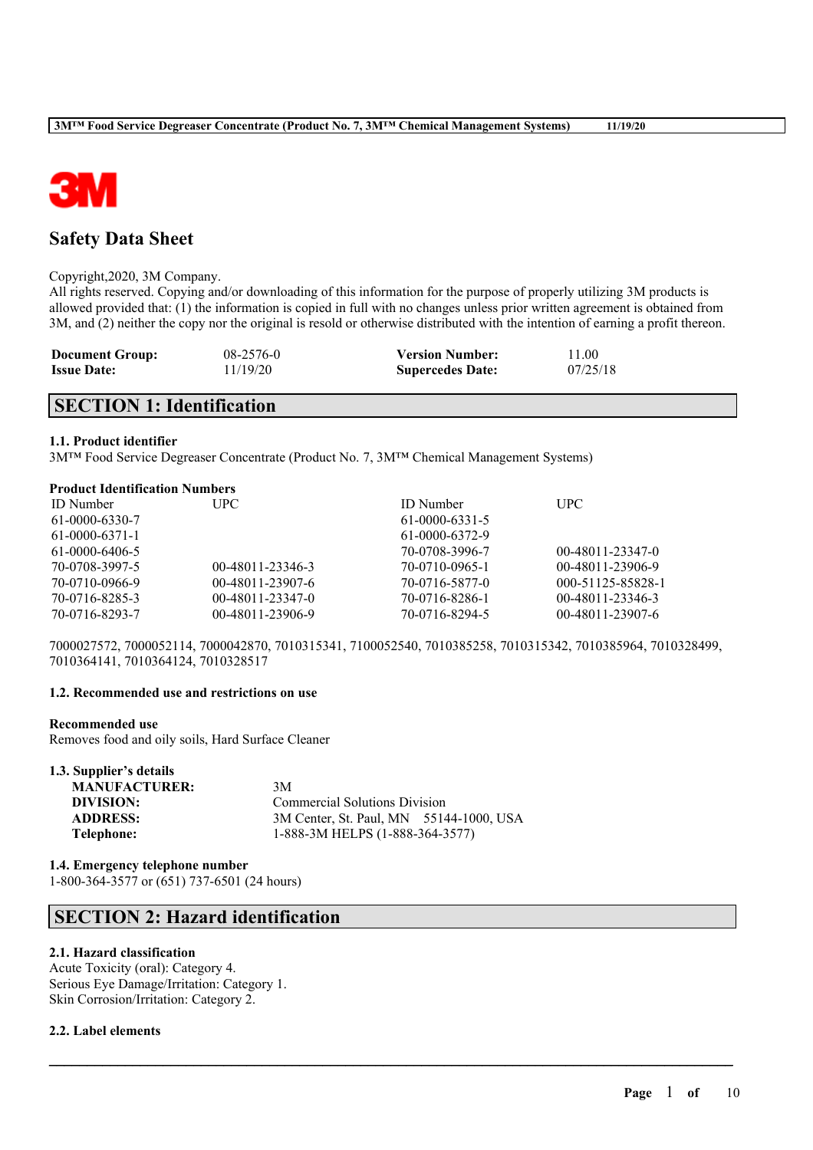

# **Safety Data Sheet**

### Copyright,2020, 3M Company.

All rights reserved. Copying and/or downloading of this information for the purpose of properly utilizing 3M products is allowed provided that: (1) the information is copied in full with no changes unless prior written agreement is obtained from 3M, and (2) neither the copy nor the original is resold or otherwise distributed with the intention of earning a profit thereon.

| <b>Document Group:</b> | $08 - 2576 - 0$ | <b>Version Number:</b>  | 11.00    |
|------------------------|-----------------|-------------------------|----------|
| <b>Issue Date:</b>     | 11/19/20        | <b>Supercedes Date:</b> | 07/25/18 |

# **SECTION 1: Identification**

## **1.1. Product identifier**

3M™ Food Service Degreaser Concentrate (Product No. 7, 3M™ Chemical Management Systems)

### **Product Identification Numbers**

| <b>ID</b> Number | UPC.               | <b>ID</b> Number | <b>UPC</b>         |
|------------------|--------------------|------------------|--------------------|
| 61-0000-6330-7   |                    | $61-0000-6331-5$ |                    |
| $61-0000-6371-1$ |                    | 61-0000-6372-9   |                    |
| $61-0000-6406-5$ |                    | 70-0708-3996-7   | $00-48011-23347-0$ |
| 70-0708-3997-5   | 00-48011-23346-3   | 70-0710-0965-1   | 00-48011-23906-9   |
| 70-0710-0966-9   | $00-48011-23907-6$ | 70-0716-5877-0   | 000-51125-85828-1  |
| 70-0716-8285-3   | 00-48011-23347-0   | 70-0716-8286-1   | 00-48011-23346-3   |
| 70-0716-8293-7   | 00-48011-23906-9   | 70-0716-8294-5   | $00-48011-23907-6$ |

7000027572, 7000052114, 7000042870, 7010315341, 7100052540, 7010385258, 7010315342, 7010385964, 7010328499, 7010364141, 7010364124, 7010328517

 $\mathcal{L}_\mathcal{L} = \mathcal{L}_\mathcal{L} = \mathcal{L}_\mathcal{L} = \mathcal{L}_\mathcal{L} = \mathcal{L}_\mathcal{L} = \mathcal{L}_\mathcal{L} = \mathcal{L}_\mathcal{L} = \mathcal{L}_\mathcal{L} = \mathcal{L}_\mathcal{L} = \mathcal{L}_\mathcal{L} = \mathcal{L}_\mathcal{L} = \mathcal{L}_\mathcal{L} = \mathcal{L}_\mathcal{L} = \mathcal{L}_\mathcal{L} = \mathcal{L}_\mathcal{L} = \mathcal{L}_\mathcal{L} = \mathcal{L}_\mathcal{L}$ 

### **1.2. Recommended use and restrictions on use**

### **Recommended use**

Removes food and oily soils, Hard Surface Cleaner

## **1.3. Supplier's details**

| 3M                                   |                                         |
|--------------------------------------|-----------------------------------------|
| <b>Commercial Solutions Division</b> |                                         |
|                                      |                                         |
| 1-888-3M HELPS (1-888-364-3577)      |                                         |
|                                      | 3M Center, St. Paul, MN 55144-1000, USA |

#### **1.4. Emergency telephone number** 1-800-364-3577 or (651) 737-6501 (24 hours)

# **SECTION 2: Hazard identification**

## **2.1. Hazard classification**

Acute Toxicity (oral): Category 4. Serious Eye Damage/Irritation: Category 1. Skin Corrosion/Irritation: Category 2.

## **2.2. Label elements**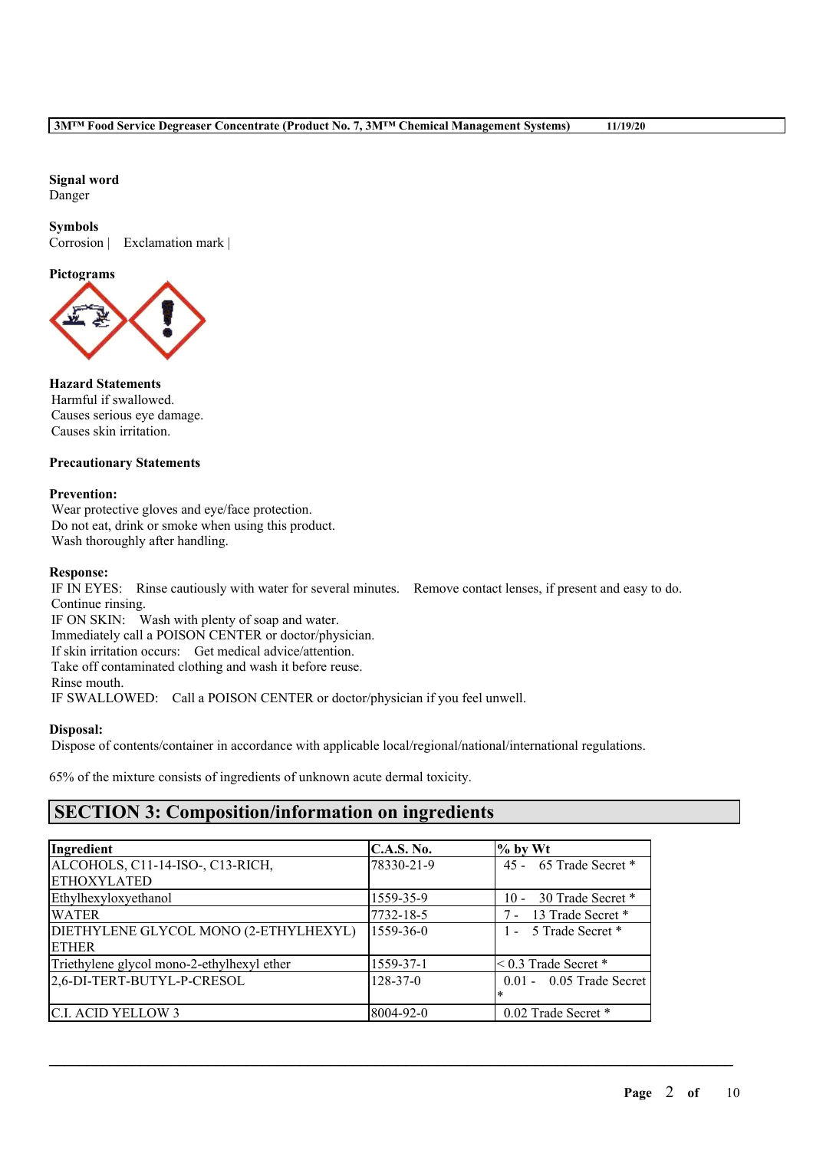### **Signal word** Danger

## **Symbols**

Corrosion | Exclamation mark |

## **Pictograms**



**Hazard Statements** Harmful if swallowed. Causes serious eye damage. Causes skin irritation.

## **Precautionary Statements**

## **Prevention:**

Wear protective gloves and eye/face protection. Do not eat, drink or smoke when using this product. Wash thoroughly after handling.

## **Response:**

IF IN EYES: Rinse cautiously with water for several minutes. Remove contact lenses, if present and easy to do. Continue rinsing. IF ON SKIN: Wash with plenty of soap and water. Immediately call a POISON CENTER or doctor/physician. If skin irritation occurs: Get medical advice/attention. Take off contaminated clothing and wash it before reuse. Rinse mouth. IF SWALLOWED: Call a POISON CENTER or doctor/physician if you feel unwell.

## **Disposal:**

Dispose of contents/container in accordance with applicable local/regional/national/international regulations.

65% of the mixture consists of ingredients of unknown acute dermal toxicity.

# **SECTION 3: Composition/information on ingredients**

| Ingredient                                 | <b>C.A.S. No.</b> | $%$ by Wt                   |
|--------------------------------------------|-------------------|-----------------------------|
| ALCOHOLS, C11-14-ISO-, C13-RICH,           | 78330-21-9        | 45 - 65 Trade Secret *      |
| <b>ETHOXYLATED</b>                         |                   |                             |
| Ethylhexyloxyethanol                       | 1559-35-9         | 30 Trade Secret *<br>$10 -$ |
| <b>WATER</b>                               | 7732-18-5         | 7 - 13 Trade Secret *       |
| DIETHYLENE GLYCOL MONO (2-ETHYLHEXYL)      | $1559 - 36 - 0$   | 1 - 5 Trade Secret *        |
| <b>ETHER</b>                               |                   |                             |
| Triethylene glycol mono-2-ethylhexyl ether | 1559-37-1         | $\leq$ 0.3 Trade Secret *   |
| 2,6-DI-TERT-BUTYL-P-CRESOL                 | $128 - 37 - 0$    | 0.01 - 0.05 Trade Secret    |
|                                            |                   | $\ast$                      |
| <b>IC.I. ACID YELLOW 3</b>                 | 8004-92-0         | 0.02 Trade Secret *         |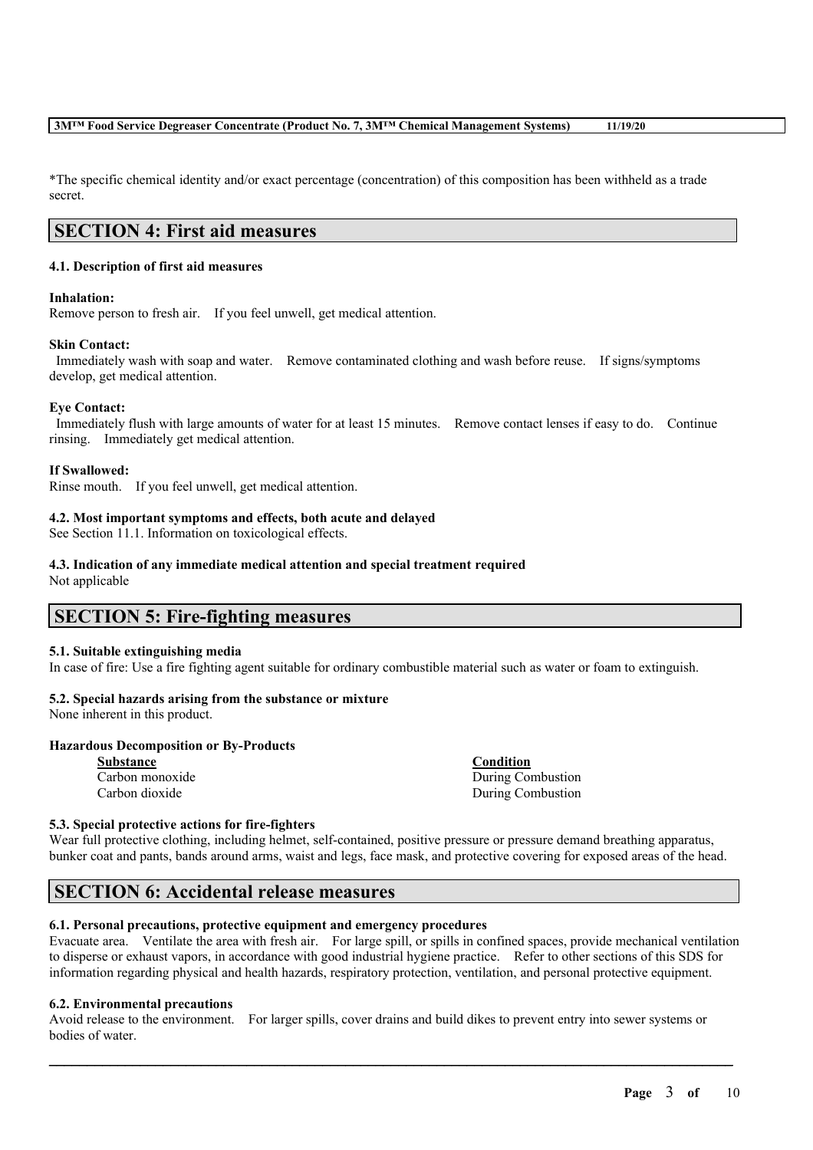## **3M™ Food Service Degreaser Concentrate (Product No. 7, 3M™ Chemical Management Systems) 11/19/20**

\*The specific chemical identity and/or exact percentage (concentration) of this composition has been withheld as a trade secret.

## **SECTION 4: First aid measures**

## **4.1. Description of first aid measures**

### **Inhalation:**

Remove person to fresh air. If you feel unwell, get medical attention.

### **Skin Contact:**

Immediately wash with soap and water. Remove contaminated clothing and wash before reuse. If signs/symptoms develop, get medical attention.

### **Eye Contact:**

Immediately flush with large amounts of water for at least 15 minutes. Remove contact lenses if easy to do. Continue rinsing. Immediately get medical attention.

### **If Swallowed:**

Rinse mouth. If you feel unwell, get medical attention.

### **4.2. Most important symptoms and effects, both acute and delayed**

See Section 11.1. Information on toxicological effects.

## **4.3. Indication of any immediate medical attention and special treatment required**

Not applicable

# **SECTION 5: Fire-fighting measures**

### **5.1. Suitable extinguishing media**

In case of fire: Use a fire fighting agent suitable for ordinary combustible material such as water or foam to extinguish.

## **5.2. Special hazards arising from the substance or mixture**

None inherent in this product.

## **Hazardous Decomposition or By-Products**

**Substance Condition**

Carbon monoxide During Combustion Carbon dioxide During Combustion

## **5.3. Special protective actions for fire-fighters**

Wear full protective clothing, including helmet, self-contained, positive pressure or pressure demand breathing apparatus, bunker coat and pants, bands around arms, waist and legs, face mask, and protective covering for exposed areas of the head.

# **SECTION 6: Accidental release measures**

### **6.1. Personal precautions, protective equipment and emergency procedures**

Evacuate area. Ventilate the area with fresh air. For large spill, or spills in confined spaces, provide mechanical ventilation to disperse or exhaust vapors, in accordance with good industrial hygiene practice. Refer to other sections of this SDS for information regarding physical and health hazards, respiratory protection, ventilation, and personal protective equipment.

### **6.2. Environmental precautions**

Avoid release to the environment. For larger spills, cover drains and build dikes to prevent entry into sewer systems or bodies of water.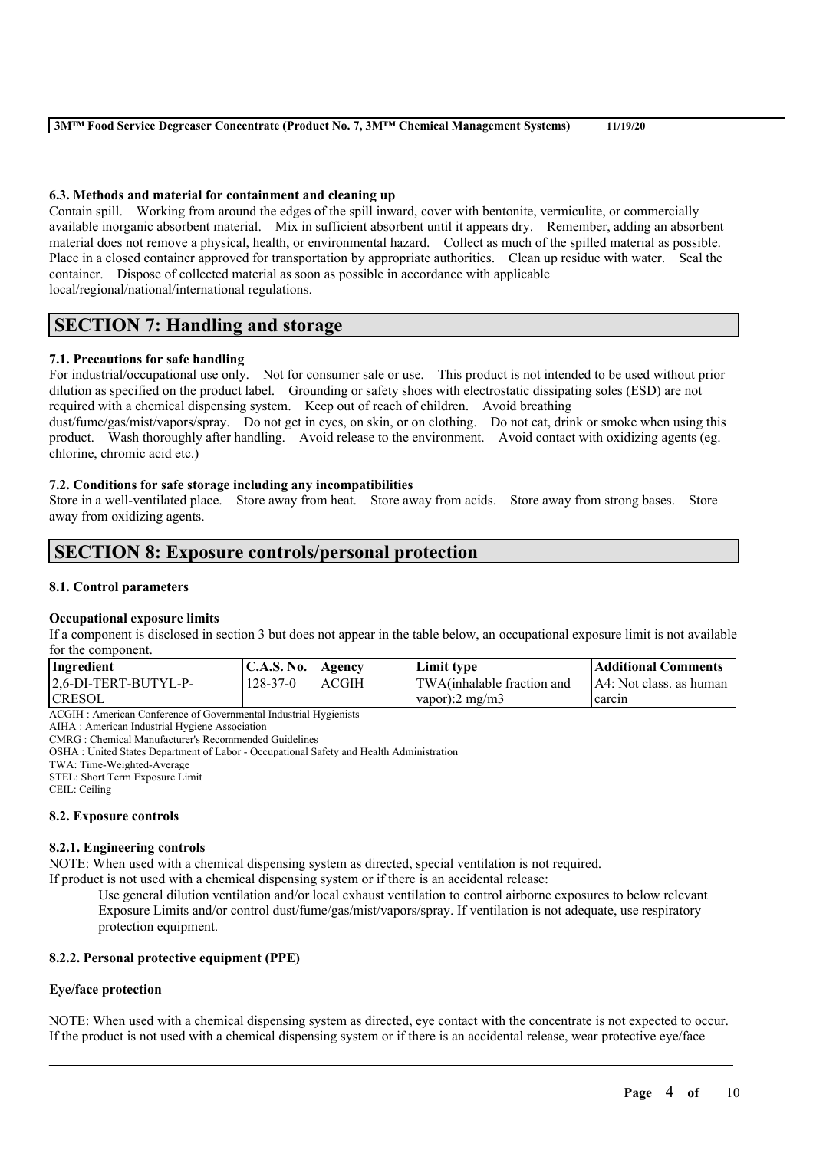## **6.3. Methods and material for containment and cleaning up**

Contain spill. Working from around the edges of the spill inward, cover with bentonite, vermiculite, or commercially available inorganic absorbent material. Mix in sufficient absorbent until it appears dry. Remember, adding an absorbent material does not remove a physical, health, or environmental hazard. Collect as much of the spilled material as possible. Place in a closed container approved for transportation by appropriate authorities. Clean up residue with water. Seal the container. Dispose of collected material as soon as possible in accordance with applicable local/regional/national/international regulations.

# **SECTION 7: Handling and storage**

## **7.1. Precautions for safe handling**

For industrial/occupational use only. Not for consumer sale or use. This product is not intended to be used without prior dilution as specified on the product label. Grounding or safety shoes with electrostatic dissipating soles (ESD) are not required with a chemical dispensing system. Keep out of reach of children. Avoid breathing

dust/fume/gas/mist/vapors/spray. Do not get in eyes, on skin, or on clothing. Do not eat, drink or smoke when using this product. Wash thoroughly after handling. Avoid release to the environment. Avoid contact with oxidizing agents (eg. chlorine, chromic acid etc.)

## **7.2. Conditions for safe storage including any incompatibilities**

Store in a well-ventilated place. Store away from heat. Store away from acids. Store away from strong bases. Store away from oxidizing agents.

## **SECTION 8: Exposure controls/personal protection**

### **8.1. Control parameters**

### **Occupational exposure limits**

If a component is disclosed in section 3 but does not appear in the table below, an occupational exposure limit is not available for the component.

| Ingredient           | $\mathsf{IC.A.S.}\$ No. | Agency | <b>Limit type</b>          | Additional Comments      |
|----------------------|-------------------------|--------|----------------------------|--------------------------|
| 2.6-DI-TERT-BUTYL-P- | 128-37-0                | ACGIH  | TWA(inhalable fraction and | IA4: Not class, as human |
| <b>CRESOL</b>        |                         |        | vapor):2 mg/m $3$          | carcin                   |

ACGIH : American Conference of Governmental Industrial Hygienists AIHA : American Industrial Hygiene Association

CMRG : Chemical Manufacturer's Recommended Guidelines

OSHA : United States Department of Labor - Occupational Safety and Health Administration

TWA: Time-Weighted-Average

STEL: Short Term Exposure Limit

CEIL: Ceiling

### **8.2. Exposure controls**

### **8.2.1. Engineering controls**

NOTE: When used with a chemical dispensing system as directed, special ventilation is not required.

If product is not used with a chemical dispensing system or if there is an accidental release:

Use general dilution ventilation and/or local exhaust ventilation to control airborne exposures to below relevant Exposure Limits and/or control dust/fume/gas/mist/vapors/spray. If ventilation is not adequate, use respiratory protection equipment.

### **8.2.2. Personal protective equipment (PPE)**

## **Eye/face protection**

NOTE: When used with a chemical dispensing system as directed, eye contact with the concentrate is not expected to occur. If the product is not used with a chemical dispensing system or if there is an accidental release, wear protective eye/face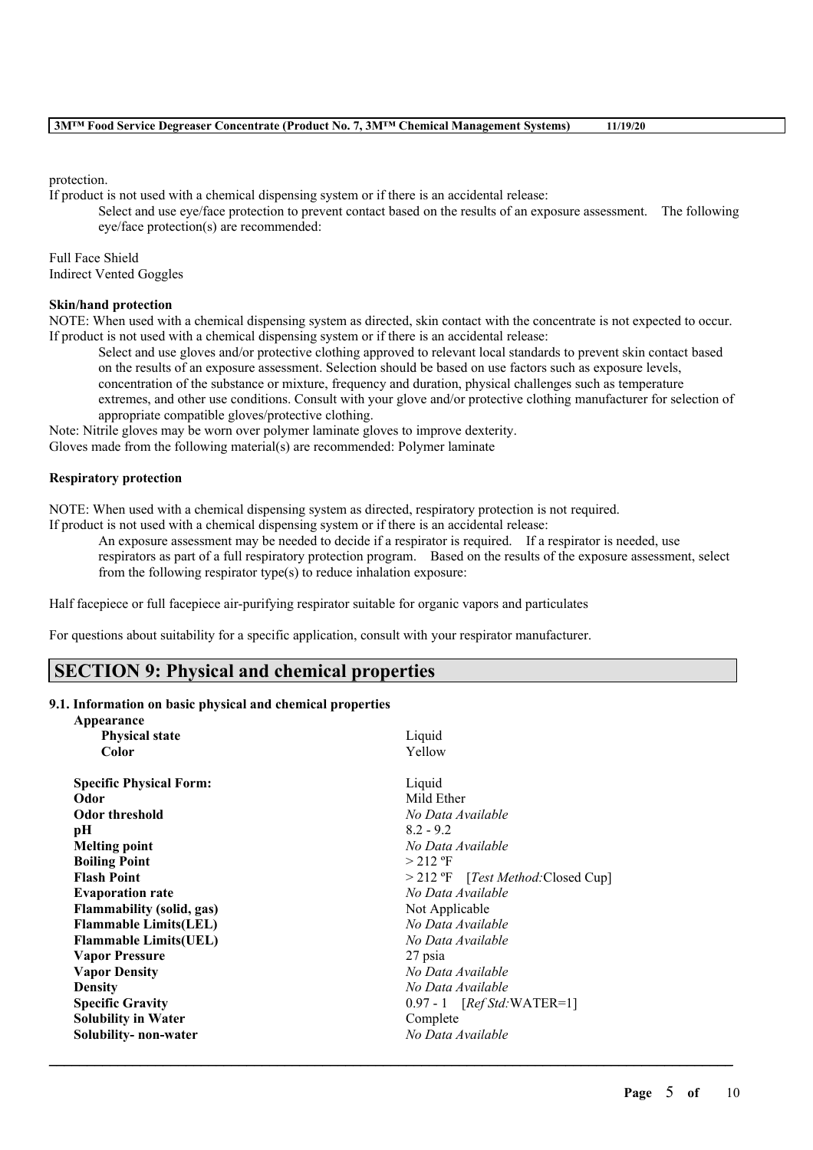protection.

If product is not used with a chemical dispensing system or if there is an accidental release:

Select and use eve/face protection to prevent contact based on the results of an exposure assessment. The following eye/face protection(s) are recommended:

Full Face Shield Indirect Vented Goggles

#### **Skin/hand protection**

NOTE: When used with a chemical dispensing system as directed, skin contact with the concentrate is not expected to occur. If product is not used with a chemical dispensing system or if there is an accidental release:

Select and use gloves and/or protective clothing approved to relevant local standards to prevent skin contact based on the results of an exposure assessment. Selection should be based on use factors such as exposure levels, concentration of the substance or mixture, frequency and duration, physical challenges such as temperature extremes, and other use conditions. Consult with your glove and/or protective clothing manufacturer for selection of appropriate compatible gloves/protective clothing.

Note: Nitrile gloves may be worn over polymer laminate gloves to improve dexterity. Gloves made from the following material(s) are recommended: Polymer laminate

### **Respiratory protection**

**Appearance**

NOTE: When used with a chemical dispensing system as directed, respiratory protection is not required. If product is not used with a chemical dispensing system or if there is an accidental release:

An exposure assessment may be needed to decide if a respirator is required. If a respirator is needed, use respirators as part of a full respiratory protection program. Based on the results of the exposure assessment, select from the following respirator type(s) to reduce inhalation exposure:

Half facepiece or full facepiece air-purifying respirator suitable for organic vapors and particulates

For questions about suitability for a specific application, consult with your respirator manufacturer.

## **SECTION 9: Physical and chemical properties**

### **9.1. Information on basic physical and chemical properties**

| <b>Physical state</b>            | Liquid                                          |
|----------------------------------|-------------------------------------------------|
| Color                            | Yellow                                          |
| <b>Specific Physical Form:</b>   | Liquid                                          |
| Odor                             | Mild Ether                                      |
| Odor threshold                   | No Data Available                               |
| pН                               | $8.2 - 9.2$                                     |
| <b>Melting point</b>             | No Data Available                               |
| <b>Boiling Point</b>             | $>$ 212 °F                                      |
| <b>Flash Point</b>               | $>$ 212 °F<br>[ <i>Test Method</i> :Closed Cup] |
| <b>Evaporation rate</b>          | No Data Available                               |
| <b>Flammability</b> (solid, gas) | Not Applicable                                  |
| <b>Flammable Limits(LEL)</b>     | No Data Available                               |
| <b>Flammable Limits(UEL)</b>     | No Data Available                               |
| <b>Vapor Pressure</b>            | 27 psia                                         |
| <b>Vapor Density</b>             | No Data Available                               |
| <b>Density</b>                   | No Data Available                               |
| <b>Specific Gravity</b>          | $0.97 - 1$ [ <i>Ref Std:</i> WATER=1]           |
| <b>Solubility in Water</b>       | Complete                                        |
| Solubility- non-water            | No Data Available                               |
|                                  |                                                 |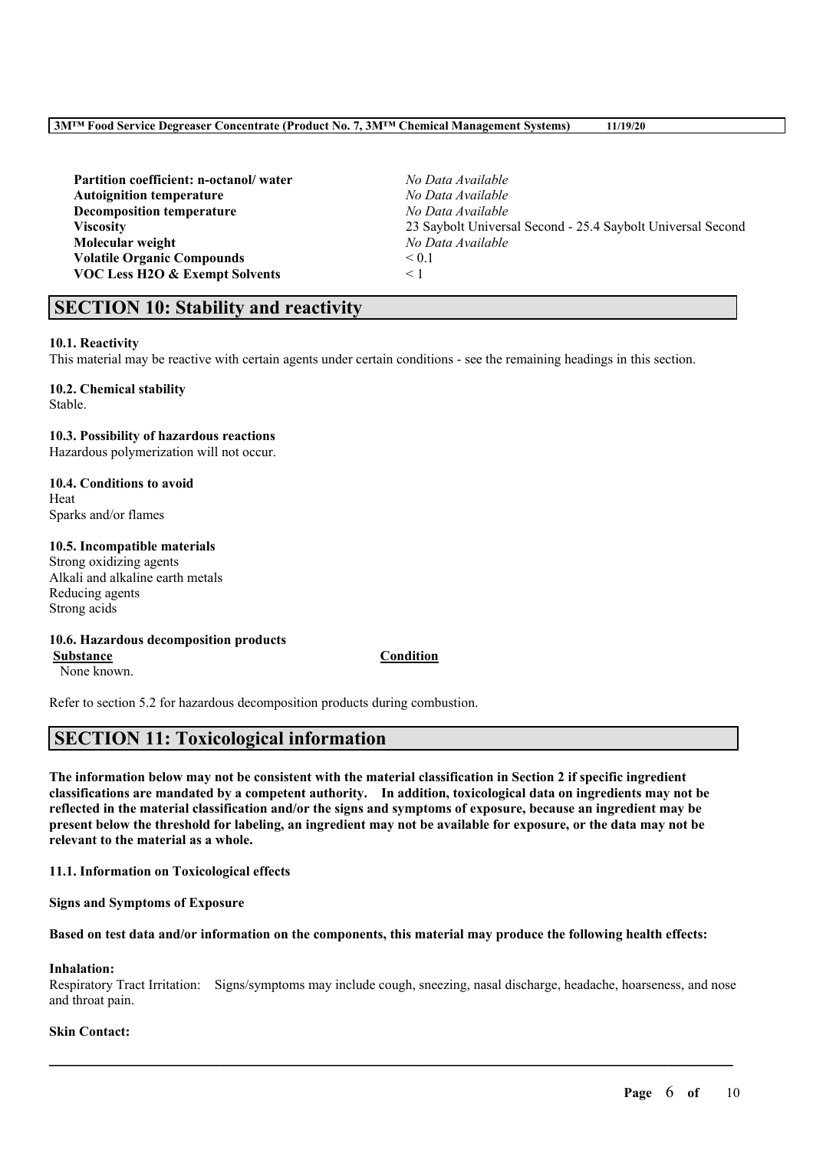| Partition coefficient: n-octanol/water    | No Data Available                                           |
|-------------------------------------------|-------------------------------------------------------------|
| <b>Autoignition temperature</b>           | No Data Available                                           |
| <b>Decomposition temperature</b>          | No Data Available                                           |
| <b>Viscosity</b>                          | 23 Saybolt Universal Second - 25.4 Saybolt Universal Second |
| Molecular weight                          | No Data Available                                           |
| <b>Volatile Organic Compounds</b>         | $\leq 0.1$                                                  |
| <b>VOC Less H2O &amp; Exempt Solvents</b> | $\leq 1$                                                    |
|                                           |                                                             |

## **SECTION 10: Stability and reactivity**

## **10.1. Reactivity**

This material may be reactive with certain agents under certain conditions - see the remaining headings in this section.

# **10.2. Chemical stability**

Stable.

## **10.3. Possibility of hazardous reactions**

Hazardous polymerization will not occur.

# **10.4. Conditions to avoid**

Heat Sparks and/or flames

## **10.5. Incompatible materials**

Strong oxidizing agents Alkali and alkaline earth metals Reducing agents Strong acids

## **10.6. Hazardous decomposition products**

**Substance Condition**

None known.

Refer to section 5.2 for hazardous decomposition products during combustion.

# **SECTION 11: Toxicological information**

The information below may not be consistent with the material classification in Section 2 if specific ingredient **classifications are mandated by a competent authority. In addition, toxicological data on ingredients may not be** reflected in the material classification and/or the signs and symptoms of exposure, because an ingredient may be present below the threshold for labeling, an ingredient may not be available for exposure, or the data may not be **relevant to the material as a whole.**

**11.1. Information on Toxicological effects**

**Signs and Symptoms of Exposure**

## Based on test data and/or information on the components, this material may produce the following health effects:

## **Inhalation:**

Respiratory Tract Irritation: Signs/symptoms may include cough, sneezing, nasal discharge, headache, hoarseness, and nose and throat pain.

 $\mathcal{L}_\mathcal{L} = \mathcal{L}_\mathcal{L} = \mathcal{L}_\mathcal{L} = \mathcal{L}_\mathcal{L} = \mathcal{L}_\mathcal{L} = \mathcal{L}_\mathcal{L} = \mathcal{L}_\mathcal{L} = \mathcal{L}_\mathcal{L} = \mathcal{L}_\mathcal{L} = \mathcal{L}_\mathcal{L} = \mathcal{L}_\mathcal{L} = \mathcal{L}_\mathcal{L} = \mathcal{L}_\mathcal{L} = \mathcal{L}_\mathcal{L} = \mathcal{L}_\mathcal{L} = \mathcal{L}_\mathcal{L} = \mathcal{L}_\mathcal{L}$ 

## **Skin Contact:**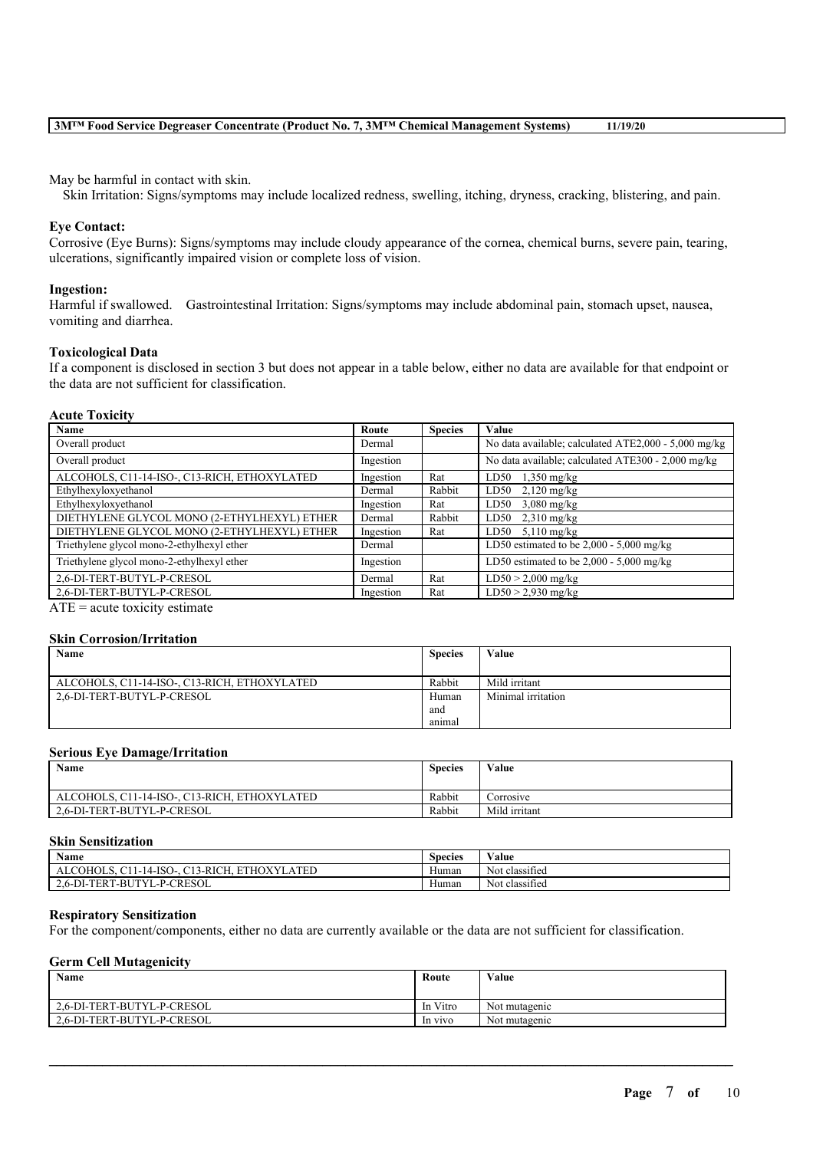May be harmful in contact with skin.

Skin Irritation: Signs/symptoms may include localized redness, swelling, itching, dryness, cracking, blistering, and pain.

### **Eye Contact:**

Corrosive (Eye Burns): Signs/symptoms may include cloudy appearance of the cornea, chemical burns, severe pain, tearing, ulcerations, significantly impaired vision or complete loss of vision.

### **Ingestion:**

Harmful if swallowed. Gastrointestinal Irritation: Signs/symptoms may include abdominal pain, stomach upset, nausea, vomiting and diarrhea.

### **Toxicological Data**

If a component is disclosed in section 3 but does not appear in a table below, either no data are available for that endpoint or the data are not sufficient for classification.

## **Acute Toxicity**

| Route     | <b>Species</b> | Value                                                |
|-----------|----------------|------------------------------------------------------|
| Dermal    |                | No data available; calculated ATE2,000 - 5,000 mg/kg |
| Ingestion |                | No data available; calculated ATE300 - 2,000 mg/kg   |
| Ingestion | Rat            | $1,350$ mg/kg<br>LD50                                |
| Dermal    | Rabbit         | $2,120 \text{ mg/kg}$<br>LD50                        |
| Ingestion | Rat            | LD50 $3,080$ mg/kg                                   |
| Dermal    | Rabbit         | $LD50$ 2,310 mg/kg                                   |
| Ingestion | Rat            | $LD50$ 5,110 mg/kg                                   |
| Dermal    |                | LD50 estimated to be $2,000 - 5,000$ mg/kg           |
| Ingestion |                | LD50 estimated to be $2,000 - 5,000$ mg/kg           |
| Dermal    | Rat            | $LD50 > 2,000$ mg/kg                                 |
| Ingestion | Rat            | $LD50 > 2,930$ mg/kg                                 |
|           |                |                                                      |

 $ATE = acute$  toxicity estimate

#### **Skin Corrosion/Irritation**

| Name                                         | <b>Species</b> | Value              |
|----------------------------------------------|----------------|--------------------|
| ALCOHOLS, C11-14-ISO-, C13-RICH, ETHOXYLATED | Rabbit         | Mild irritant      |
| 2.6-DI-TERT-BUTYL-P-CRESOL                   | Human          | Minimal irritation |
|                                              | and            |                    |
|                                              | animal         |                    |

### **Serious Eye Damage/Irritation**

| <b>Name</b>                                  | <b>Species</b> | Value         |
|----------------------------------------------|----------------|---------------|
| ALCOHOLS, C11-14-ISO-, C13-RICH, ETHOXYLATED | Rabbit         | Corrosive     |
| 2.6-DI-TERT-BUTYL-P-CRESOL                   | Rabbit         | Mild irritant |

### **Skin Sensitization**

| Name                                                              | $\sim$<br><b>Species</b> | Value                    |
|-------------------------------------------------------------------|--------------------------|--------------------------|
| $1-14-ISO$ .<br>3-RICH.<br>. ETHOXYI<br>ALCOHOLS.<br>ATED<br>تدرب | Human                    | $\sim$<br>Not classified |
| T-BUTYL-P-CRESOL<br>2.6-DI-TERT                                   | Human                    | $\sim$<br>Not classified |

#### **Respiratory Sensitization**

For the component/components, either no data are currently available or the data are not sufficient for classification.

### **Germ Cell Mutagenicity**

| <b>Name</b>                | Route    | Value         |
|----------------------------|----------|---------------|
|                            |          |               |
| 2.6-DI-TERT-BUTYL-P-CRESOL | In Vitro | Not mutagenic |
| 2.6-DI-TERT-BUTYL-P-CRESOL | In vivo  | Not mutagenic |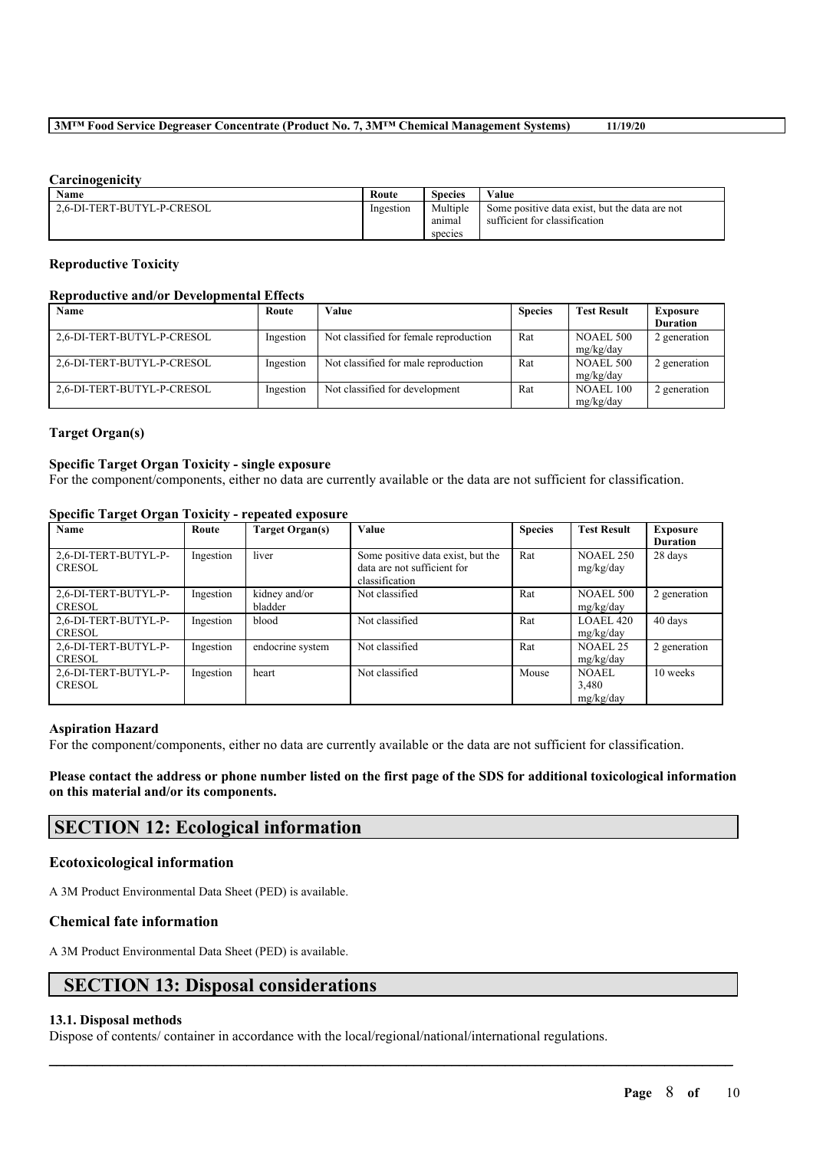### **Carcinogenicity**

| <b>Name</b>                | Route     | <b>Species</b>     | Value                                                                           |
|----------------------------|-----------|--------------------|---------------------------------------------------------------------------------|
| 2.6-DI-TERT-BUTYL-P-CRESOL | Ingestion | Multiple<br>anımal | Some positive data exist, but the data are not<br>sufficient for classification |
|                            |           | species            |                                                                                 |

### **Reproductive Toxicity**

## **Reproductive and/or Developmental Effects**

| Name                       | Route     | Value                                  | <b>Species</b> | <b>Test Result</b> | <b>Exposure</b> |
|----------------------------|-----------|----------------------------------------|----------------|--------------------|-----------------|
|                            |           |                                        |                |                    | <b>Duration</b> |
| 2.6-DI-TERT-BUTYL-P-CRESOL | Ingestion | Not classified for female reproduction | Rat            | <b>NOAEL 500</b>   | 2 generation    |
|                            |           |                                        |                | mg/kg/day          |                 |
| 2.6-DI-TERT-BUTYL-P-CRESOL | Ingestion | Not classified for male reproduction   | Rat            | <b>NOAEL 500</b>   | 2 generation    |
|                            |           |                                        |                | mg/kg/day          |                 |
| 2.6-DI-TERT-BUTYL-P-CRESOL | Ingestion | Not classified for development         | Rat            | NOAEL 100          | 2 generation    |
|                            |           |                                        |                | mg/kg/day          |                 |

### **Target Organ(s)**

### **Specific Target Organ Toxicity - single exposure**

For the component/components, either no data are currently available or the data are not sufficient for classification.

| Name                                  | Route     | Target Organ(s)          | Value                                                                              | <b>Species</b> | <b>Test Result</b>                 | Exposure<br><b>Duration</b> |
|---------------------------------------|-----------|--------------------------|------------------------------------------------------------------------------------|----------------|------------------------------------|-----------------------------|
| 2,6-DI-TERT-BUTYL-P-<br><b>CRESOL</b> | Ingestion | liver                    | Some positive data exist, but the<br>data are not sufficient for<br>classification | Rat            | NOAEL 250<br>mg/kg/day             | 28 days                     |
| 2,6-DI-TERT-BUTYL-P-<br><b>CRESOL</b> | Ingestion | kidney and/or<br>bladder | Not classified                                                                     | Rat            | <b>NOAEL 500</b><br>mg/kg/day      | 2 generation                |
| 2,6-DI-TERT-BUTYL-P-<br><b>CRESOL</b> | Ingestion | blood                    | Not classified                                                                     | Rat            | <b>LOAEL 420</b><br>mg/kg/day      | 40 days                     |
| 2,6-DI-TERT-BUTYL-P-<br><b>CRESOL</b> | Ingestion | endocrine system         | Not classified                                                                     | Rat            | NOAEL 25<br>mg/kg/day              | 2 generation                |
| 2,6-DI-TERT-BUTYL-P-<br><b>CRESOL</b> | Ingestion | heart                    | Not classified                                                                     | Mouse          | <b>NOAEL</b><br>3,480<br>mg/kg/day | 10 weeks                    |

## **Specific Target Organ Toxicity - repeated exposure**

### **Aspiration Hazard**

For the component/components, either no data are currently available or the data are not sufficient for classification.

Please contact the address or phone number listed on the first page of the SDS for additional toxicological information **on this material and/or its components.**

 $\mathcal{L}_\mathcal{L} = \mathcal{L}_\mathcal{L} = \mathcal{L}_\mathcal{L} = \mathcal{L}_\mathcal{L} = \mathcal{L}_\mathcal{L} = \mathcal{L}_\mathcal{L} = \mathcal{L}_\mathcal{L} = \mathcal{L}_\mathcal{L} = \mathcal{L}_\mathcal{L} = \mathcal{L}_\mathcal{L} = \mathcal{L}_\mathcal{L} = \mathcal{L}_\mathcal{L} = \mathcal{L}_\mathcal{L} = \mathcal{L}_\mathcal{L} = \mathcal{L}_\mathcal{L} = \mathcal{L}_\mathcal{L} = \mathcal{L}_\mathcal{L}$ 

## **SECTION 12: Ecological information**

### **Ecotoxicological information**

A 3M Product Environmental Data Sheet (PED) is available.

### **Chemical fate information**

A 3M Product Environmental Data Sheet (PED) is available.

## **SECTION 13: Disposal considerations**

### **13.1. Disposal methods**

Dispose of contents/ container in accordance with the local/regional/national/international regulations.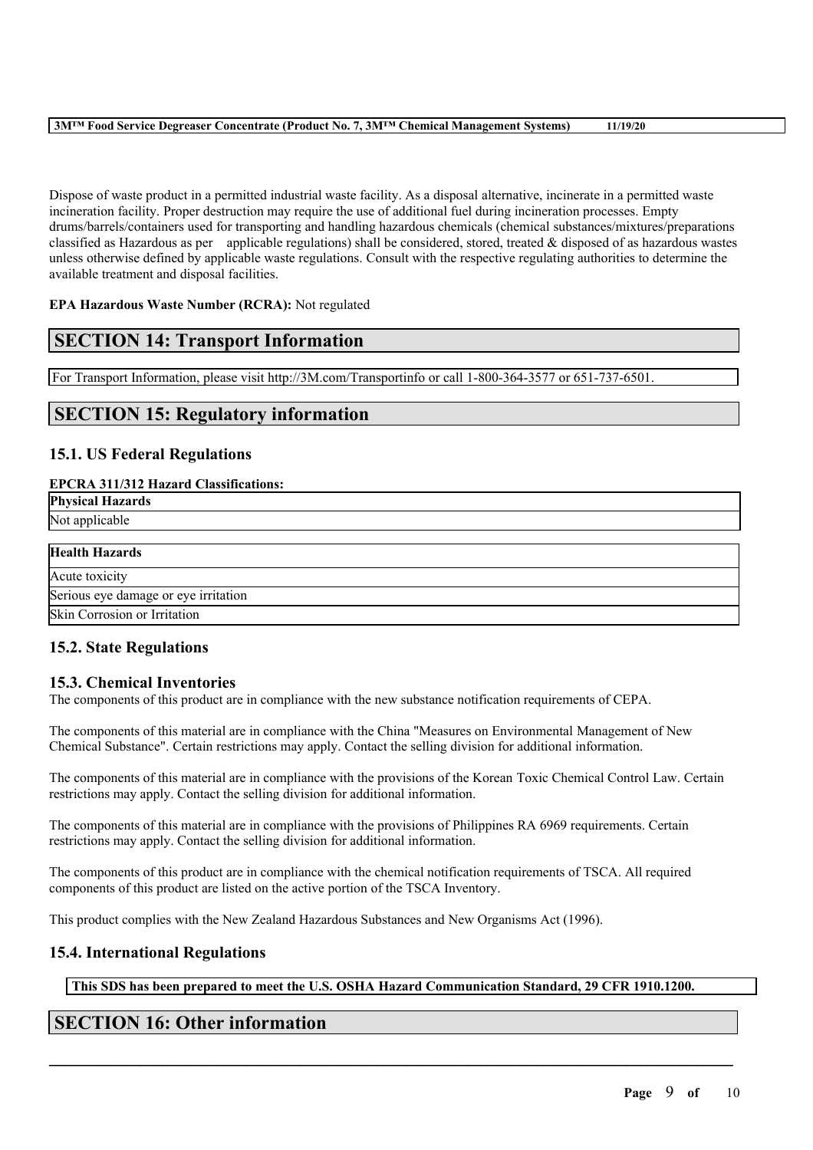Dispose of waste product in a permitted industrial waste facility. As a disposal alternative, incinerate in a permitted waste incineration facility. Proper destruction may require the use of additional fuel during incineration processes. Empty drums/barrels/containers used for transporting and handling hazardous chemicals (chemical substances/mixtures/preparations classified as Hazardous as per applicable regulations) shall be considered, stored, treated & disposed of as hazardous wastes unless otherwise defined by applicable waste regulations. Consult with the respective regulating authorities to determine the available treatment and disposal facilities.

## **EPA Hazardous Waste Number (RCRA):** Not regulated

## **SECTION 14: Transport Information**

For Transport Information, please visit http://3M.com/Transportinfo or call 1-800-364-3577 or 651-737-6501.

# **SECTION 15: Regulatory information**

## **15.1. US Federal Regulations**

## **EPCRA 311/312 Hazard Classifications:**

| <b>Physical Hazards</b>              |
|--------------------------------------|
| Not applicable                       |
|                                      |
| <b>Health Hazards</b>                |
| Acute toxicity                       |
| Serious eye damage or eye irritation |
| Skin Corrosion or Irritation         |

## **15.2. State Regulations**

## **15.3. Chemical Inventories**

The components of this product are in compliance with the new substance notification requirements of CEPA.

The components of this material are in compliance with the China "Measures on Environmental Management of New Chemical Substance". Certain restrictions may apply. Contact the selling division for additional information.

The components of this material are in compliance with the provisions of the Korean Toxic Chemical Control Law. Certain restrictions may apply. Contact the selling division for additional information.

The components of this material are in compliance with the provisions of Philippines RA 6969 requirements. Certain restrictions may apply. Contact the selling division for additional information.

The components of this product are in compliance with the chemical notification requirements of TSCA. All required components of this product are listed on the active portion of the TSCA Inventory.

This product complies with the New Zealand Hazardous Substances and New Organisms Act (1996).

## **15.4. International Regulations**

**This SDS has been prepared to meet the U.S. OSHA Hazard Communication Standard, 29 CFR 1910.1200.**

 $\mathcal{L}_\mathcal{L} = \mathcal{L}_\mathcal{L} = \mathcal{L}_\mathcal{L} = \mathcal{L}_\mathcal{L} = \mathcal{L}_\mathcal{L} = \mathcal{L}_\mathcal{L} = \mathcal{L}_\mathcal{L} = \mathcal{L}_\mathcal{L} = \mathcal{L}_\mathcal{L} = \mathcal{L}_\mathcal{L} = \mathcal{L}_\mathcal{L} = \mathcal{L}_\mathcal{L} = \mathcal{L}_\mathcal{L} = \mathcal{L}_\mathcal{L} = \mathcal{L}_\mathcal{L} = \mathcal{L}_\mathcal{L} = \mathcal{L}_\mathcal{L}$ 

## **SECTION 16: Other information**